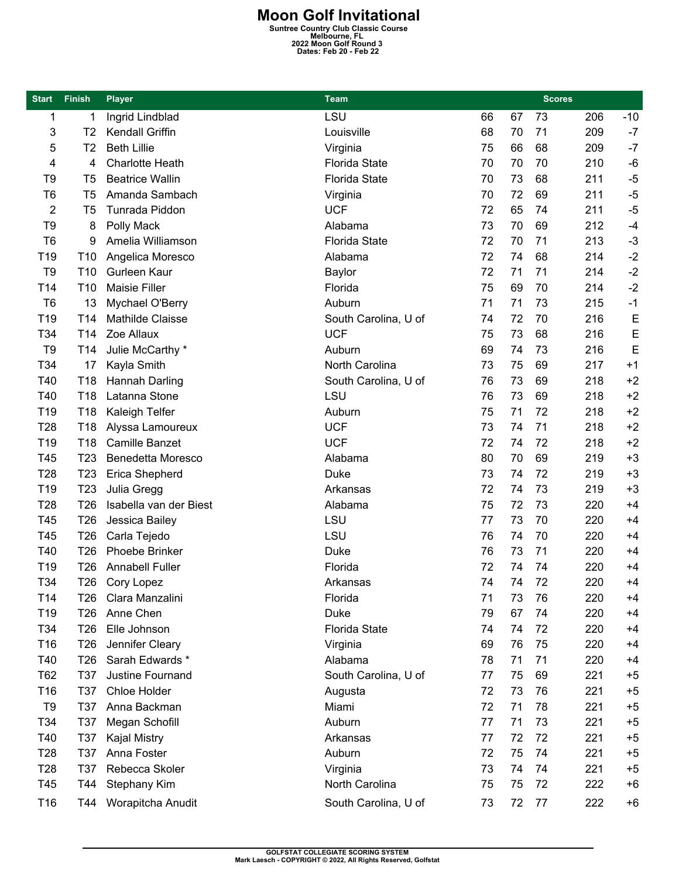**Moon Golf Invitational**<br>
Suntree Country Club Classic Course<br>
2022 Moon Golf Round 3<br>
Dates: Feb 20 - Feb 22

| <b>Start</b>    | <b>Finish</b>   | <b>Player</b>           | <b>Team</b>          |    |    | <b>Scores</b> |     |       |
|-----------------|-----------------|-------------------------|----------------------|----|----|---------------|-----|-------|
| 1               | 1               | Ingrid Lindblad         | LSU                  | 66 | 67 | 73            | 206 | $-10$ |
| 3               | T2              | Kendall Griffin         | Louisville           | 68 | 70 | 71            | 209 | $-7$  |
| 5               | T2              | <b>Beth Lillie</b>      | Virginia             | 75 | 66 | 68            | 209 | $-7$  |
| 4               | 4               | <b>Charlotte Heath</b>  | <b>Florida State</b> | 70 | 70 | 70            | 210 | $-6$  |
| T9              | T <sub>5</sub>  | <b>Beatrice Wallin</b>  | <b>Florida State</b> | 70 | 73 | 68            | 211 | $-5$  |
| T <sub>6</sub>  | T <sub>5</sub>  | Amanda Sambach          | Virginia             | 70 | 72 | 69            | 211 | $-5$  |
| 2               | T <sub>5</sub>  | Tunrada Piddon          | <b>UCF</b>           | 72 | 65 | 74            | 211 | $-5$  |
| T <sub>9</sub>  | 8               | Polly Mack              | Alabama              | 73 | 70 | 69            | 212 | $-4$  |
| T <sub>6</sub>  | 9               | Amelia Williamson       | <b>Florida State</b> | 72 | 70 | 71            | 213 | $-3$  |
| T19             | T <sub>10</sub> | Angelica Moresco        | Alabama              | 72 | 74 | 68            | 214 | $-2$  |
| T <sub>9</sub>  | T <sub>10</sub> | Gurleen Kaur            | Baylor               | 72 | 71 | 71            | 214 | $-2$  |
| T14             | T <sub>10</sub> | <b>Maisie Filler</b>    | Florida              | 75 | 69 | 70            | 214 | $-2$  |
| T <sub>6</sub>  | 13              | Mychael O'Berry         | Auburn               | 71 | 71 | 73            | 215 | $-1$  |
| T <sub>19</sub> | T <sub>14</sub> | <b>Mathilde Claisse</b> | South Carolina, U of | 74 | 72 | 70            | 216 | E     |
| T34             | T <sub>14</sub> | Zoe Allaux              | <b>UCF</b>           | 75 | 73 | 68            | 216 | E     |
| T <sub>9</sub>  | T14             | Julie McCarthy *        | Auburn               | 69 | 74 | 73            | 216 | E     |
| T34             | 17              | Kayla Smith             | North Carolina       | 73 | 75 | 69            | 217 | $+1$  |
| T40             | T <sub>18</sub> | Hannah Darling          | South Carolina, U of | 76 | 73 | 69            | 218 | $+2$  |
| T40             | T18             | Latanna Stone           | LSU                  | 76 | 73 | 69            | 218 | $+2$  |
| T <sub>19</sub> | T <sub>18</sub> | Kaleigh Telfer          | Auburn               | 75 | 71 | 72            | 218 | $+2$  |
| T <sub>28</sub> | T <sub>18</sub> | Alyssa Lamoureux        | <b>UCF</b>           | 73 | 74 | 71            | 218 | $+2$  |
| T19             | T <sub>18</sub> | <b>Camille Banzet</b>   | <b>UCF</b>           | 72 | 74 | 72            | 218 | $+2$  |
| T45             | T <sub>23</sub> | Benedetta Moresco       | Alabama              | 80 | 70 | 69            | 219 | $+3$  |
| T <sub>28</sub> | T <sub>23</sub> | Erica Shepherd          | Duke                 | 73 | 74 | 72            | 219 | $+3$  |
| T19             | T <sub>23</sub> | Julia Gregg             | Arkansas             | 72 | 74 | 73            | 219 | $+3$  |
| T <sub>28</sub> | T <sub>26</sub> | Isabella van der Biest  | Alabama              | 75 | 72 | 73            | 220 | $+4$  |
| T45             | T <sub>26</sub> | Jessica Bailey          | LSU                  | 77 | 73 | 70            | 220 | $+4$  |
| T45             | T <sub>26</sub> | Carla Tejedo            | LSU                  | 76 | 74 | 70            | 220 | $+4$  |
| T40             | T <sub>26</sub> | Phoebe Brinker          | <b>Duke</b>          | 76 | 73 | 71            | 220 | $+4$  |
| T <sub>19</sub> | T <sub>26</sub> | <b>Annabell Fuller</b>  | Florida              | 72 | 74 | 74            | 220 | $+4$  |
| T34             | T26             | Cory Lopez              | Arkansas             | 74 | 74 | 72            | 220 | $+4$  |
| T14             | T26             | Clara Manzalini         | Florida              | 71 | 73 | 76            | 220 | $+4$  |
| T <sub>19</sub> | T <sub>26</sub> | Anne Chen               | <b>Duke</b>          | 79 | 67 | 74            | 220 | $+4$  |
| T34             | T <sub>26</sub> | Elle Johnson            | Florida State        | 74 | 74 | 72            | 220 | $+4$  |
| T <sub>16</sub> | T <sub>26</sub> | Jennifer Cleary         | Virginia             | 69 | 76 | 75            | 220 | $+4$  |
| T40             | T <sub>26</sub> | Sarah Edwards *         | Alabama              | 78 | 71 | 71            | 220 | $+4$  |
| T62             | T37             | Justine Fournand        | South Carolina, U of | 77 | 75 | 69            | 221 | $+5$  |
| T <sub>16</sub> | T37             | Chloe Holder            | Augusta              | 72 | 73 | 76            | 221 | $+5$  |
| T9              | T37             | Anna Backman            | Miami                | 72 | 71 | 78            | 221 | $+5$  |
| T34             | T37             | Megan Schofill          | Auburn               | 77 | 71 | 73            | 221 | $+5$  |
| T40             | T37             | Kajal Mistry            | Arkansas             | 77 | 72 | 72            | 221 | $+5$  |
| T <sub>28</sub> | T37             | Anna Foster             | Auburn               | 72 | 75 | 74            | 221 | $+5$  |
| T <sub>28</sub> | T37             | Rebecca Skoler          | Virginia             | 73 | 74 | 74            | 221 | $+5$  |
| T45             | T44             | Stephany Kim            | North Carolina       | 75 | 75 | 72            | 222 | $+6$  |
| T <sub>16</sub> |                 |                         | South Carolina, U of | 73 | 72 | 77            | 222 | $+6$  |
|                 | T44             | Worapitcha Anudit       |                      |    |    |               |     |       |